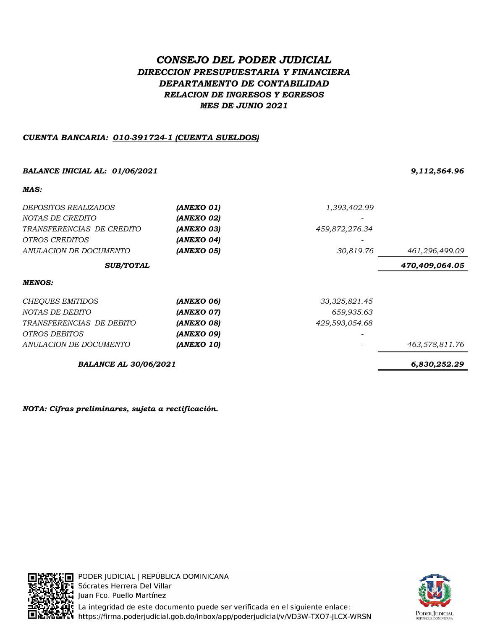# CONSEJO DEL PODER JUDICIAL DIRECCION PRESUPUESTARIA Y FINANCIERA DEPARTAMENTO DE CONTABILIDAD RELACION DE INGRESOS Y EGRESOS MES DE JUNIO 2021

# CUENTA BANCARIA: 010-391724-1 (CUENTA SUELDOS)

# BALANCE INICIAL AL: 01/06/2021 9,112,564.96

MAC.

| MAS:                         |            |                 |                |
|------------------------------|------------|-----------------|----------------|
| <i>DEPOSITOS REALIZADOS</i>  | (ANEXO 01) | 1,393,402.99    |                |
| NOTAS DE CREDITO             | (ANEXO 02) |                 |                |
| TRANSFERENCIAS DE CREDITO    | (ANEXO 03) | 459,872,276.34  |                |
| <i>OTROS CREDITOS</i>        | (ANEXO 04) |                 |                |
| ANULACION DE DOCUMENTO       | (ANEXO 05) | 30,819.76       | 461,296,499.09 |
| <b>SUB/TOTAL</b>             |            |                 | 470,409,064.05 |
| <b>MENOS:</b>                |            |                 |                |
| CHEQUES EMITIDOS             | (ANEXO 06) | 33, 325, 821.45 |                |
| NOTAS DE DEBITO              | (ANEXO 07) | 659,935.63      |                |
| TRANSFERENCIAS DE DEBITO     | (ANEXO 08) | 429,593,054.68  |                |
| <i>OTROS DEBITOS</i>         | (ANEXO 09) |                 |                |
| ANULACION DE DOCUMENTO       | (ANEXO 10) |                 | 463,578,811.76 |
| <b>BALANCE AL 30/06/2021</b> |            |                 | 6,830,252.29   |

NOTA: Cifras preliminares, sujeta a rectificación.



:E∏ PODER JUDICIAL | REPÚBLICA DOMINICANA **Ti** Sócrates Herrera Del Villar Juan Fco. Puello Martínez La integridad de este documento puede ser verificada en el siguiente enlace: **The conflict conduct of the conduct of the conduct of the conduct of the conduct of the conduct of the conduct**<br>The https://firma.poderjudicial.gob.do/inbox/app/poderjudicial/v/VD3W-TXO7-JLCX-WRSN

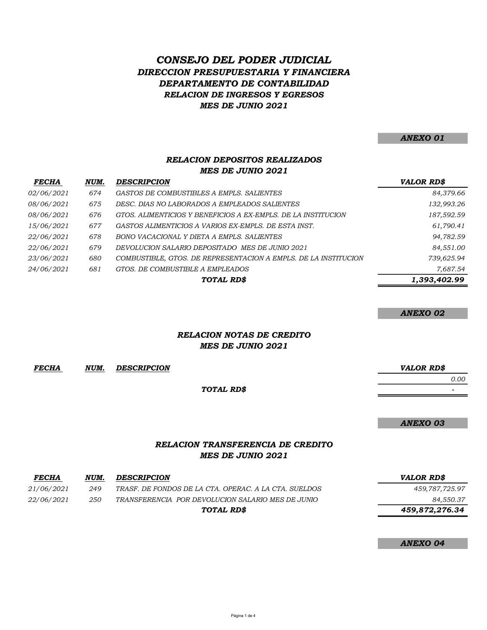# RELACION DE INGRESOS Y EGRESOS CONSEJO DEL PODER JUDICIAL DIRECCION PRESUPUESTARIA Y FINANCIERA DEPARTAMENTO DE CONTABILIDAD MES DE JUNIO 2021

ANEXO 01

# RELACION DEPOSITOS REALIZADOS MES DE JUNIO 2021

| <b>FECHA</b>      | NUM. | <b>DESCRIPCION</b>                                              | <b>VALOR RD\$</b> |
|-------------------|------|-----------------------------------------------------------------|-------------------|
| <i>02/06/2021</i> | 674  | GASTOS DE COMBUSTIBLES A EMPLS. SALIENTES                       | 84,379.66         |
| 08/06/2021        | 675  | DESC. DIAS NO LABORADOS A EMPLEADOS SALIENTES                   | 132,993.26        |
| <i>08/06/2021</i> | 676  | GTOS. ALIMENTICIOS Y BENEFICIOS A EX-EMPLS. DE LA INSTITUCION   | 187,592.59        |
| 15/06/2021        | 677  | GASTOS ALIMENTICIOS A VARIOS EX-EMPLS. DE ESTA INST.            | 61,790.41         |
| <i>22/06/2021</i> | 678  | BONO VACACIONAL Y DIETA A EMPLS. SALIENTES                      | 94,782.59         |
| 22/06/2021        | 679  | DEVOLUCION SALARIO DEPOSITADO MES DE JUNIO 2021                 | 84,551.00         |
| 23/06/2021        | 680  | COMBUSTIBLE, GTOS. DE REPRESENTACION A EMPLS. DE LA INSTITUCION | 739,625.94        |
| 24/06/2021        | 681  | GTOS. DE COMBUSTIBLE A EMPLEADOS                                | 7,687.54          |
|                   |      | TOTAL RD\$                                                      | 1,393,402.99      |

#### ANEXO 02

# RELACION NOTAS DE CREDITO MES DE JUNIO 2021

| <b>FECHA</b> | NUM. | <b>DESCRIPCION</b> |
|--------------|------|--------------------|
|              |      |                    |

#### TOTAL RD\$

- 1990 - 1990 - 1990 - 1990 - 1990 - 1990 - 1990 - 1990 - 1990 - 1990 - 1990 - 1990 - 1990 - 1990 - 1990 - 199

VALOR RD\$

0.00

# ANEXO 03

# RELACION TRANSFERENCIA DE CREDITO MES DE JUNIO 2021

| <b>FECHA</b>      | NUM. | <b>DESCRIPCION</b>                                    | VALOR RD\$     |
|-------------------|------|-------------------------------------------------------|----------------|
| 21/06/2021        | 249  | TRASF. DE FONDOS DE LA CTA. OPERAC. A LA CTA. SUELDOS | 459,787,725.97 |
| <i>22/06/2021</i> | 250  | TRANSFERENCIA POR DEVOLUCION SALARIO MES DE JUNIO     | 84,550.37      |
|                   |      | TOTAL RD\$                                            | 459,872,276.34 |

# ANEXO 04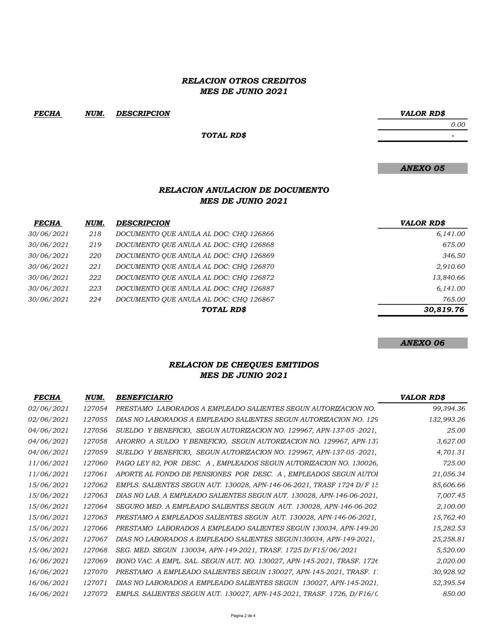## RELACION OTROS CREDITOS MES DE JUNIO 2021

FECHA NUM. VALOR RD\$ DESCRIPCION

TOTAL RD\$

ANEXO 05

# RELACION ANULACION DE DOCUMENTO MES DE JUNIO 2021

| <b>FECHA</b> | NUM. | <b>DESCRIPCION</b>                     | VALOR RD\$ |
|--------------|------|----------------------------------------|------------|
| 30/06/2021   | 218  | DOCUMENTO QUE ANULA AL DOC: CHO 126866 | 6,141.00   |
| 30/06/2021   | 219  | DOCUMENTO QUE ANULA AL DOC: CHO 126868 | 675.00     |
| 30/06/2021   | 220  | DOCUMENTO QUE ANULA AL DOC: CHO 126869 | 346.50     |
| 30/06/2021   | 221  | DOCUMENTO QUE ANULA AL DOC: CHO 126870 | 2,910.60   |
| 30/06/2021   | 222  | DOCUMENTO QUE ANULA AL DOC: CHO 126872 | 13,840.66  |
| 30/06/2021   | 223  | DOCUMENTO QUE ANULA AL DOC: CHO 126887 | 6,141.00   |
| 30/06/2021   | 224  | DOCUMENTO QUE ANULA AL DOC: CHO 126867 | 765.00     |
|              |      | TOTAL RD\$                             | 30,819.76  |

ANEXO 06

# RELACION DE CHEQUES EMITIDOS MES DE JUNIO 2021

| <b>FECHA</b>      | NUM.   | <b>BENEFICIARIO</b>                                                     | VALOR RD\$ |
|-------------------|--------|-------------------------------------------------------------------------|------------|
| 02/06/2021        | 127054 | PRESTAMO LABORADOS A EMPLEADO SALIENTES SEGUN AUTORIZACION NO.          | 99,394.36  |
| 02/06/2021        | 127055 | DIAS NO LABORADOS A EMPLEADO SALIENTES SEGUN AUTORIZACION NO. 129       | 132,993.26 |
| <i>04/06/2021</i> | 127056 | SUELDO Y BENEFICIO, SEGUN AUTORIZACION NO. 129967, APN-137-05 -2021,    | 25.00      |
| 04/06/2021        | 127058 | AHORRO A SULDO Y BENEFICIO, SEGUN AUTORIZACION NO. 129967, APN-137      | 3,627.00   |
| <i>04/06/2021</i> | 127059 | SUELDO Y BENEFICIO, SEGUN AUTORIZACION NO. 129967, APN-137-05-2021,     | 4,701.31   |
| 11/06/2021        | 127060 | PAGO LEY 82, POR DESC. A, EMPLEADOS SEGUN AUTORIZACION NO. 130026,      | 725.00     |
| 11/06/2021        | 127061 | APORTE AL FONDO DE PENSIONES POR DESC. A, EMPLEADOS SEGUN AUTOL         | 21,056.34  |
| 15/06/2021        | 127062 | EMPLS. SALIENTES SEGUN AUT. 130028, APN-146-06-2021, TRASF 1724 D/F 15  | 85,606.66  |
| 15/06/2021        | 127063 | DIAS NO LAB. A EMPLEADO SALIENTES SEGUN AUT. 130028, APN-146-06-2021,   | 7,007.45   |
| 15/06/2021        | 127064 | SEGURO MED. A EMPLEADO SALIENTES SEGUN AUT. 130028, APN-146-06-202      | 2,100.00   |
| 15/06/2021        | 127065 | PRESTAMO A EMPLEADOS SALIENTES SEGUN AUT. 130028, APN-146-06-2021,      | 15,762.40  |
| 15/06/2021        | 127066 | PRESTAMO LABORADOS A EMPLEADO SALIENTES SEGUN 130034, APN-149-20        | 15,282.53  |
| 15/06/2021        | 127067 | DIAS NO LABORADOS A EMPLEADO SALIENTES SEGUN130034, APN-149-2021,       | 25,258.81  |
| 15/06/2021        | 127068 | SEG. MED. SEGUN 130034, APN-149-2021, TRASF. 1725 D/F15/06/2021         | 5,520.00   |
| 16/06/2021        | 127069 | BONO VAC. A EMPL. SAL. SEGUN AUT. NO. 130027, APN-145-2021, TRASF. 1726 | 2,020.00   |
| 16/06/2021        | 127070 | PRESTAMO A EMPLEADO SALIENTES SEGUN 130027, APN-145-2021, TRASF. 1:     | 30,928.92  |
| 16/06/2021        | 127071 | DIAS NO LABORADOS A EMPLEADO SALIENTES SEGUN 130027, APN-145-2021.      | 52,395.54  |
| 16/06/2021        | 127072 | EMPLS. SALIENTES SEGUN AUT. 130027, APN-145-2021, TRASF. 1726, D/F16/(  | 850.00     |

- 1990 - 1990 - 1990 - 1990 - 1990 - 1990 - 1990 - 1990 - 1990 - 1990 - 1990 - 1990 - 1990 - 1990 - 1990 - 19<br>1991 - 1990 - 1990 - 1990 - 1990 - 1990 - 1990 - 1990 - 1990 - 1990 - 1990 - 1990 - 1990 - 1990 - 1990 - 1990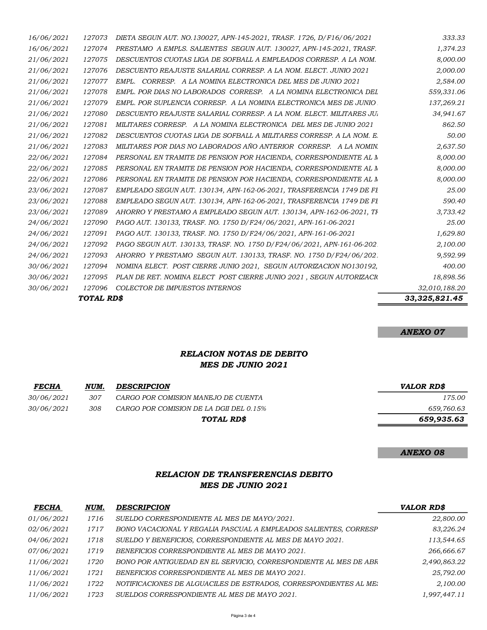|                          | TOTAL RD\$       |                                                                                                                                  | 33, 325, 821.45        |
|--------------------------|------------------|----------------------------------------------------------------------------------------------------------------------------------|------------------------|
| 30/06/2021               | 127096           | COLECTOR DE IMPUESTOS INTERNOS                                                                                                   | 32,010,188.20          |
| 30/06/2021               | 127095           | PLAN DE RET. NOMINA ELECT POST CIERRE JUNIO 2021, SEGUN AUTORIZACIO                                                              | 18,898.56              |
| 30/06/2021               | 127094           | NOMINA ELECT. POST CIERRE JUNIO 2021, SEGUN AUTORIZACION NO130192,                                                               | 400.00                 |
| 24/06/2021               | 127093           | AHORRO Y PRESTAMO SEGUN AUT. 130133, TRASF. NO. 1750 D/F24/06/202.                                                               | 9,592.99               |
| 24/06/2021               | 127092           | PAGO SEGUN AUT. 130133, TRASF. NO. 1750 D/F24/06/2021, APN-161-06-202.                                                           | 2,100.00               |
| 24/06/2021               | 127091           | PAGO AUT. 130133, TRASF. NO. 1750 D/F24/06/2021, APN-161-06-2021                                                                 | 1,629.80               |
| 24/06/2021               | 127090           | PAGO AUT. 130133, TRASF. NO. 1750 D/F24/06/2021, APN-161-06-2021                                                                 | 25.00                  |
| 23/06/2021               | 127089           | AHORRO Y PRESTAMO A EMPLEADO SEGUN AUT. 130134, APN-162-06-2021, TH                                                              | 3,733.42               |
| 23/06/2021               | 127088           | EMPLEADO SEGUN AUT. 130134, APN-162-06-2021, TRASFERENCIA 1749 DE FI                                                             | 590.40                 |
| 23/06/2021               | 127087           | EMPLEADO SEGUN AUT. 130134, APN-162-06-2021, TRASFERENCIA 1749 DE FI                                                             | 25.00                  |
| 22/06/2021               | 127086           | PERSONAL EN TRAMITE DE PENSION POR HACIENDA, CORRESPONDIENTE AL M                                                                | 8,000.00               |
| 22/06/2021               | 127085           | PERSONAL EN TRAMITE DE PENSION POR HACIENDA, CORRESPONDIENTE AL M                                                                | 8,000.00               |
| 22/06/2021               | 127084           | PERSONAL EN TRAMITE DE PENSION POR HACIENDA, CORRESPONDIENTE AL M                                                                | 8,000.00               |
| 21/06/2021               | 127083           | MILITARES POR DIAS NO LABORADOS AÑO ANTERIOR CORRESP. A LA NOMIN                                                                 | 2,637.50               |
| 21/06/2021               | 127082           | DESCUENTOS CUOTAS LIGA DE SOFBALL A MILITARES CORRESP. A LA NOM. E                                                               | 50.00                  |
| 21/06/2021               | 127081           | MILITARES CORRESP. A LA NOMINA ELECTRONICA DEL MES DE JUNIO 2021                                                                 | 862.50                 |
| 21/06/2021               | 127080           | DESCUENTO REAJUSTE SALARIAL CORRESP. A LA NOM. ELECT. MILITARES JU.                                                              | 34,941.67              |
| 21/06/2021               | 127079           | EMPL. POR SUPLENCIA CORRESP. A LA NOMINA ELECTRONICA MES DE JUNIO                                                                | 137,269.21             |
| 21/06/2021<br>21/06/2021 | 127077<br>127078 | EMPL. CORRESP. A LA NOMINA ELECTRONICA DEL MES DE JUNIO 2021<br>EMPL. POR DIAS NO LABORADOS CORRESP. A LA NOMINA ELECTRONICA DEL | 2,584.00<br>559,331.06 |
| 21/06/2021               | 127076           | DESCUENTO REAJUSTE SALARIAL CORRESP. A LA NOM. ELECT. JUNIO 2021                                                                 | 2,000.00               |
| 21/06/2021               | 127075           | DESCUENTOS CUOTAS LIGA DE SOFBALL A EMPLEADOS CORRESP. A LA NOM.                                                                 | 8,000.00               |
| 16/06/2021               | 127074           | PRESTAMO A EMPLS. SALIENTES SEGUN AUT. 130027, APN-145-2021, TRASF.                                                              | 1,374.23               |
| 16/06/2021               | 127073           | DIETA SEGUN AUT. NO.130027, APN-145-2021, TRASF. 1726, D/F16/06/2021                                                             | 333.33                 |
|                          |                  |                                                                                                                                  |                        |

ANEXO 07

# RELACION NOTAS DE DEBITO MES DE JUNIO 2021

| <u>FECHA</u> | NUM. | <b>DESCRIPCION</b>                      | VALOR RD\$ |
|--------------|------|-----------------------------------------|------------|
| 30/06/2021   | 307  | CARGO POR COMISION MANEJO DE CUENTA     | 175.00     |
| 30/06/2021   | 308  | CARGO POR COMISION DE LA DGII DEL 0.15% | 659,760.63 |
|              |      | TOTAL RD\$                              | 659,935.63 |

# ANEXO 08

# RELACION DE TRANSFERENCIAS DEBITO MES DE JUNIO 2021

| <b>FECHA</b>      | NUM. | <b>DESCRIPCION</b>                                                | <b>VALOR RD\$</b> |
|-------------------|------|-------------------------------------------------------------------|-------------------|
| 01/06/2021        | 1716 | SUELDO CORRESPONDIENTE AL MES DE MAYO/2021.                       | 22,800.00         |
| <i>02/06/2021</i> | 1717 | BONO VACACIONAL Y REGALIA PASCUAL A EMPLEADOS SALIENTES, CORRESP  | 83,226.24         |
| 04/06/2021        | 1718 | SUELDO Y BENEFICIOS, CORRESPONDIENTE AL MES DE MAYO 2021.         | 113,544.65        |
| <i>07/06/2021</i> | 1719 | BENEFICIOS CORRESPONDIENTE AL MES DE MAYO 2021.                   | 266,666.67        |
| 11/06/2021        | 1720 | BONO POR ANTIGUEDAD EN EL SERVICIO, CORRESPONDIENTE AL MES DE ABR | 2,490,863.22      |
| 11/06/2021        | 1721 | BENEFICIOS CORRESPONDIENTE AL MES DE MAYO 2021.                   | 25,792.00         |
| 11/06/2021        | 1722 | NOTIFICACIONES DE ALGUACILES DE ESTRADOS, CORRESPONDIENTES AL ME. | 2,100.00          |
| 11/06/2021        | 1723 | SUELDOS CORRESPONDIENTE AL MES DE MAYO 2021.                      | 1,997,447.11      |